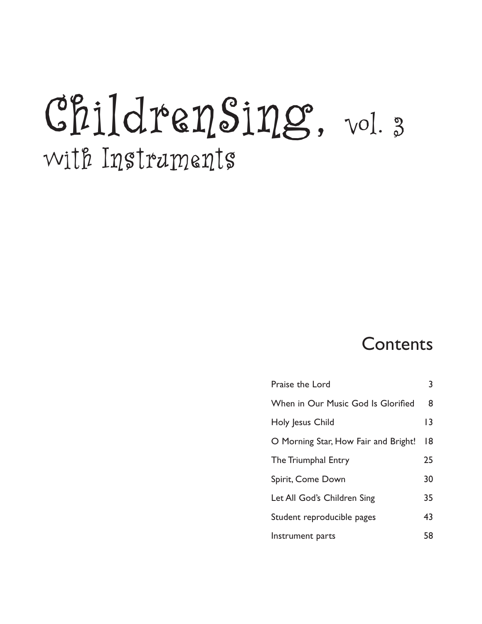# ChildrenSing, vol. 3 with Instruments

## Contents

| Praise the Lord                      | 3               |
|--------------------------------------|-----------------|
| When in Our Music God Is Glorified   | 8               |
| Holy Jesus Child                     | $\overline{13}$ |
| O Morning Star, How Fair and Bright! | 8               |
| The Triumphal Entry                  | 25              |
| Spirit, Come Down                    | 30              |
| Let All God's Children Sing          | 35              |
| Student reproducible pages           | 43              |
| Instrument parts                     | 58              |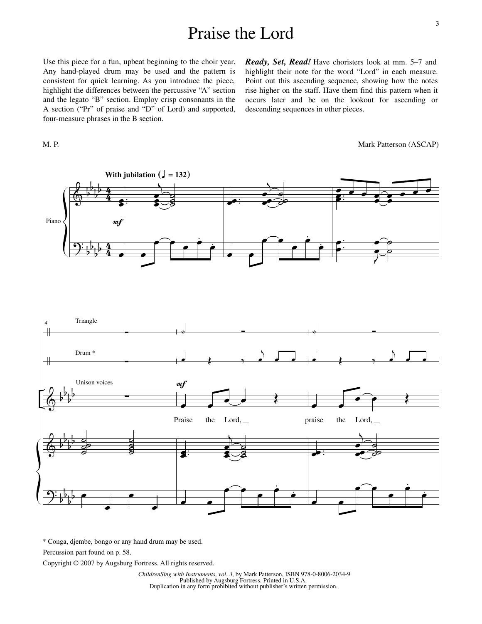#### Praise the Lord

Use this piece for a fun, upbeat beginning to the choir year. Any hand-played drum may be used and the pattern is consistent for quick learning. As you introduce the piece, highlight the differences between the percussive "A" section and the legato "B" section. Employ crisp consonants in the A section ("Pr" of praise and "D" of Lord) and supported, four-measure phrases in the B section.

M. P.

*Ready, Set, Read!* Have choristers look at mm. 5–7 and highlight their note for the word "Lord" in each measure. Point out this ascending sequence, showing how the notes rise higher on the staff. Have them find this pattern when it occurs later and be on the lookout for ascending or descending sequences in other pieces.





\* Conga, djembe, bongo or any hand drum may be used.

Percussion part found on p. 58.

Copyright © 2007 by Augsburg Fortress. All rights reserved.

 *ChildrenSing with Instruments, vol. 3,* by Mark Patterson, ISBN 978-0-8006-2034-9 Published by Augsburg Fortress. Printed in U.S.A. Duplication in any form prohibited without publisher's written permission.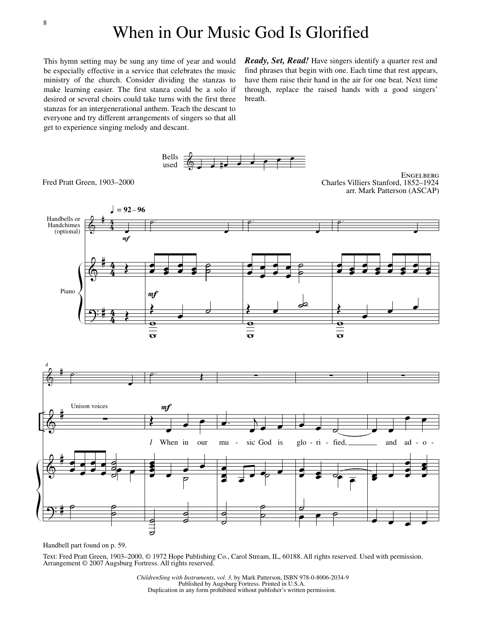This hymn setting may be sung any time of year and would be especially effective in a service that celebrates the music ministry of the church. Consider dividing the stanzas to make learning easier. The first stanza could be a solo if desired or several choirs could take turns with the first three stanzas for an intergenerational anthem. Teach the descant to everyone and try different arrangements of singers so that all get to experience singing melody and descant.

*Ready, Set, Read!* Have singers identify a quarter rest and find phrases that begin with one. Each time that rest appears, have them raise their hand in the air for one beat. Next time through, replace the raised hands with a good singers' breath.



Fred Pratt Green, 1903–2000

**ENGELBERG** Charles Villiers Stanford, 1852–1924 arr. Mark Patterson (ASCAP)



Handbell part found on p. 59.

Text: Fred Pratt Green, 1903–2000, © 1972 Hope Publishing Co., Carol Stream, IL, 60188. All rights reserved. Used with permission. Arrangement © 2007 Augsburg Fortress. All rights reserved.

 *ChildrenSing with Instruments, vol. 3,* by Mark Patterson, ISBN 978-0-8006-2034-9 Published by Augsburg Fortress. Printed in U.S.A. Duplication in any form prohibited without publisher's written permission.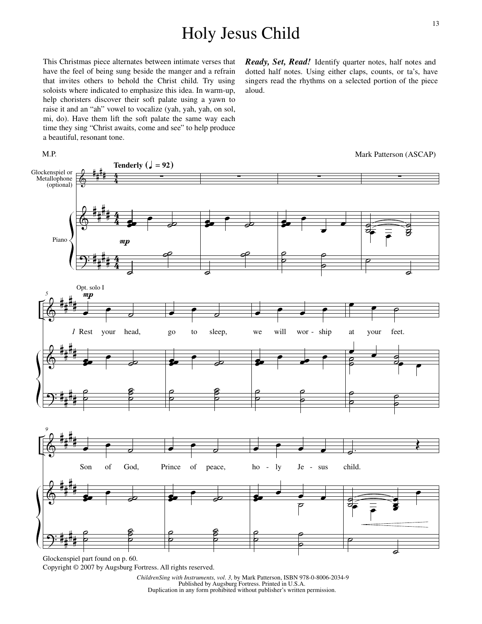## Holy Jesus Child

This Christmas piece alternates between intimate verses that have the feel of being sung beside the manger and a refrain that invites others to behold the Christ child. Try using soloists where indicated to emphasize this idea. In warm-up, help choristers discover their soft palate using a yawn to raise it and an "ah" vowel to vocalize (yah, yah, yah, on sol, mi, do). Have them lift the soft palate the same way each time they sing "Christ awaits, come and see" to help produce a beautiful, resonant tone.

 $\Phi$  $\pmb{\phi}$  $\Theta$ # # # # # # # # # # # #  $rac{4}{4}$  $\frac{4}{\epsilon}$  $\frac{4}{4}$  $\frac{4}{\hbar}$  $\frac{4}{4}$  $\frac{4}{\hbar}$ Glockenspiel or Metallophone (optional) Piano ∑ œœœ **Tenderly**  $\left(\frac{1}{2}\right) = 92$  $\boldsymbol{m}$ œ **†**  $\overline{\phantom{a}}$ <u>a</u> ∑ œœœ œ **j**  $\overline{\phantom{0}}$ e<br>1 ∑ œœœ œ œ œ ˙  $\frac{\varepsilon}{\varepsilon}$ ˙ ˙ ∑  $\frac{1}{2}$  $\mathbf{S}$  $\overline{\mathsf{S}}$  $\widehat{\bullet}$   $\widehat{\overline{\bullet}}$   $\widehat{\overline{\bullet}}$   $\widehat{\overline{\bullet}}$  $\overline{C}$  $\overline{\phantom{0}}$  $\pmb{\phi}$  $\pmb{\phi}$  $\Theta$ # # # # # # # # # # # # *5* œ Opt. solo I  $\frac{mp}{2}$ œ  $\overline{\phantom{a}}$ your head, œœœ œ 。<br>。 ˙ ˙  $\frac{2}{5}$ õ<br>Р  $\overline{\cdot}$  $\overline{\phantom{a}}$ go to sleep, œœœ œ **j** ˙ ˙ ខ្លី ˙ œ œ œ œ we will wor - ship œœœ œ  $\overrightarrow{e}$ ˙ ˙  $\epsilon$ ˙  $\bullet$   $\bullet$   $\circ$ at your feet.  $\frac{1}{2}$   $\frac{1}{2}$   $\frac{1}{2}$  $\begin{matrix} \circ & \bullet & \circ \ \circ & \circ \end{matrix}$ ˙ œ œ ˙ ˙ ˙  $\frac{1}{2}$  $\pmb{\phi}$  $\pmb{\phi}$ # # # # # # # # *9*  $\overline{\cdot}$  $\overline{\phantom{a}}$ Son of God, œœœ œ 。<br>。  $\overline{\cdot}$  $\overline{\phantom{a}}$ Prince of peace, œœœ œ 。<br>。 . . . . ho - ly Je - sus œœœ  $\bullet$   $\bullet$   $\bullet$ ˙  $\overrightarrow{c}$ . child. ວ 0 | |  $\Omega$ œ e<br>E œ  $Je$ Mark Patterson (ASCAP) *1*

*Ready, Set, Read!* Identify quarter notes, half notes and dotted half notes. Using either claps, counts, or ta's, have singers read the rhythms on a selected portion of the piece aloud.

ខ្ល<br>ភ p<br>Р

˙ ˙

 $\Theta$ 

M.P.

# # # # ˙ ˙

> *ChildrenSing with Instruments, vol. 3,* by Mark Patterson, ISBN 978-0-8006-2034-9 Published by Augsburg Fortress. Printed in U.S.A. Duplication in any form prohibited without publisher's written permission.

˙ ˙

˙ ˙  $\epsilon$  =

 $\overline{\phantom{a}}$ 

p

ខ្ល<br>ភ p<br>Р

Copyright © 2007 by Augsburg Fortress. All rights reserved. Glockenspiel part found on p. 60.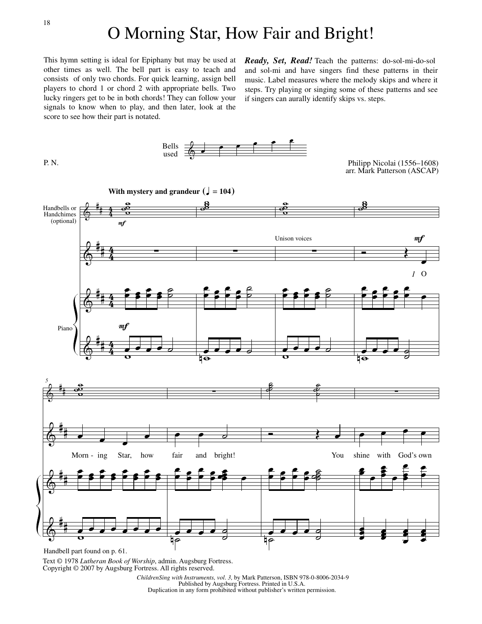This hymn setting is ideal for Epiphany but may be used at other times as well. The bell part is easy to teach and consists of only two chords. For quick learning, assign bell players to chord 1 or chord 2 with appropriate bells. Two lucky ringers get to be in both chords! They can follow your signals to know when to play, and then later, look at the score to see how their part is notated.

Bells

*Ready, Set, Read!* Teach the patterns: do-sol-mi-do-sol and sol-mi and have singers find these patterns in their music. Label measures where the melody skips and where it steps. Try playing or singing some of these patterns and see if singers can aurally identify skips vs. steps.



Text © 1978 *Lutheran Book of Worship*, admin. Augsburg Fortress. Copyright © 2007 by Augsburg Fortress. All rights reserved.

 *ChildrenSing with Instruments, vol. 3,* by Mark Patterson, ISBN 978-0-8006-2034-9 Published by Augsburg Fortress. Printed in U.S.A. Duplication in any form prohibited without publisher's written permission.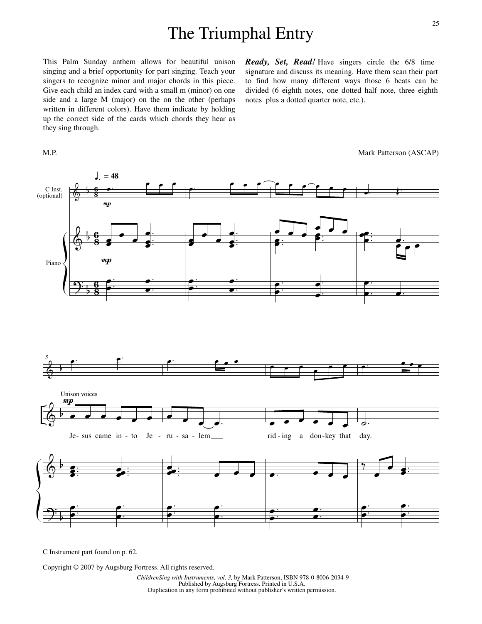#### The Triumphal Entry

This Palm Sunday anthem allows for beautiful unison singing and a brief opportunity for part singing. Teach your singers to recognize minor and major chords in this piece. Give each child an index card with a small m (minor) on one side and a large M (major) on the on the other (perhaps written in different colors). Have them indicate by holding up the correct side of the cards which chords they hear as they sing through.

M.P.

*Ready, Set, Read!* Have singers circle the 6/8 time signature and discuss its meaning. Have them scan their part to find how many different ways those 6 beats can be divided (6 eighth notes, one dotted half note, three eighth notes plus a dotted quarter note, etc.).



C Instrument part found on p. 62.

Copyright © 2007 by Augsburg Fortress. All rights reserved.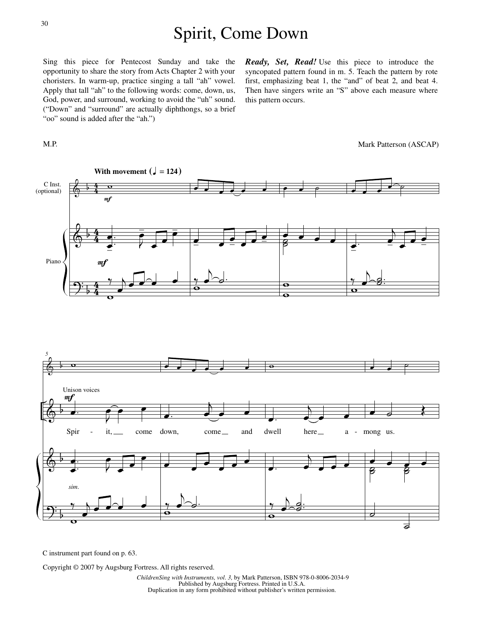### Spirit, Come Down

Sing this piece for Pentecost Sunday and take the opportunity to share the story from Acts Chapter 2 with your choristers. In warm-up, practice singing a tall "ah" vowel. Apply that tall "ah" to the following words: come, down, us, God, power, and surround, working to avoid the "uh" sound. ("Down" and "surround" are actually diphthongs, so a brief "oo" sound is added after the "ah.")

*Ready, Set, Read!* Use this piece to introduce the syncopated pattern found in m. 5. Teach the pattern by rote first, emphasizing beat 1, the "and" of beat 2, and beat 4. Then have singers write an "S" above each measure where this pattern occurs.



C instrument part found on p. 63.

Copyright © 2007 by Augsburg Fortress. All rights reserved.

M.P.

Mark Patterson (ASCAP)